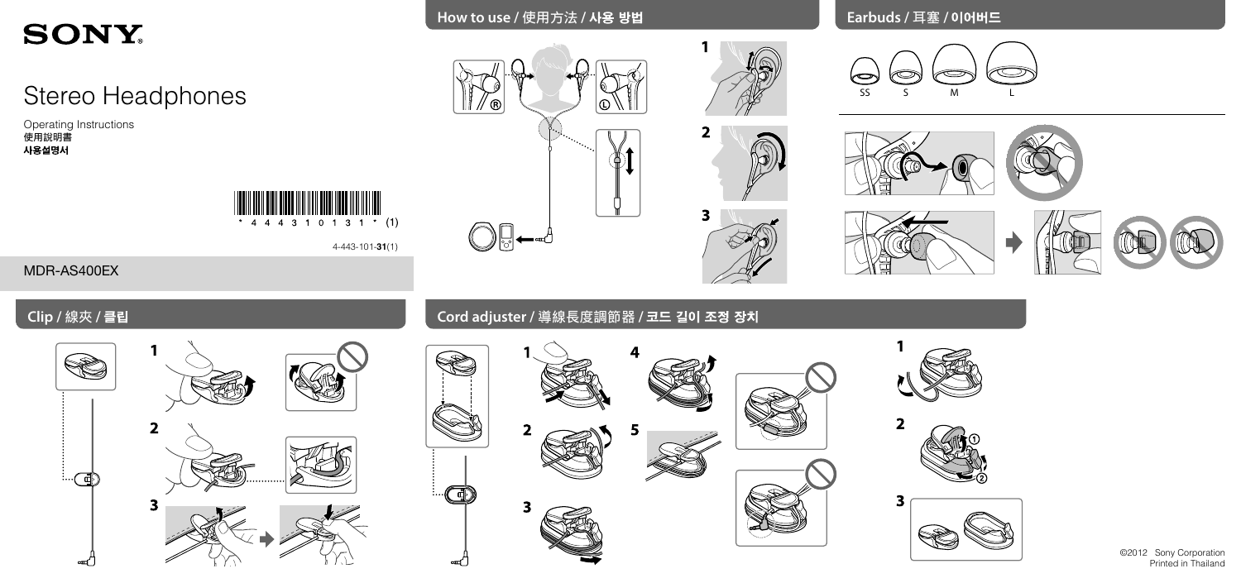# **SONY**

## Stereo Headphones

Operating Instructions 使用說明書



4-443-101-**31**(1)













MDR-AS400EX

## **Cord adjuster /** 導線長度調節器 **/**





 $\overline{2}$ 

3



©2012 Sony Corporation Printed in Thailand